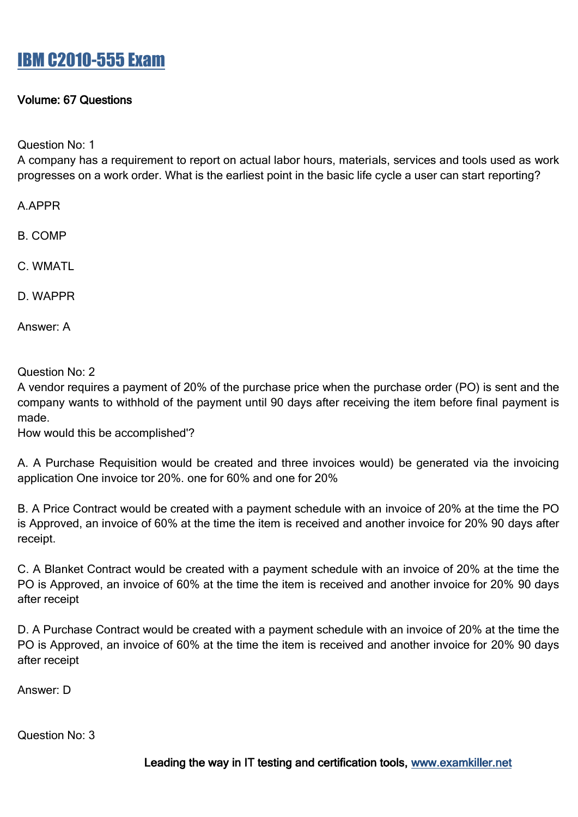### Volume: 67 Questions

Question No: 1

A company has a requirement to report on actual labor hours, materials, services and tools used as work progresses on a work order. What is the earliest point in the basic life cycle a user can start reporting?

A.APPR

B. COMP

C. WMATL

D. WAPPR

Answer: A

Question No: 2

A vendor requires a payment of 20% of the purchase price when the purchase order (PO) is sent and the company wants to withhold of the payment until 90 days after receiving the item before final payment is made.

How would this be accomplished'?

A. A Purchase Requisition would be created and three invoices would) be generated via the invoicing application One invoice tor 20%. one for 60% and one for 20%

B. A Price Contract would be created with a payment schedule with an invoice of 20% at the time the PO is Approved, an invoice of 60% at the time the item is received and another invoice for 20% 90 days after receipt.

C. A Blanket Contract would be created with a payment schedule with an invoice of 20% at the time the PO is Approved, an invoice of 60% at the time the item is received and another invoice for 20% 90 days after receipt

D. A Purchase Contract would be created with a payment schedule with an invoice of 20% at the time the PO is Approved, an invoice of 60% at the time the item is received and another invoice for 20% 90 days after receipt

Answer: D

Question No: 3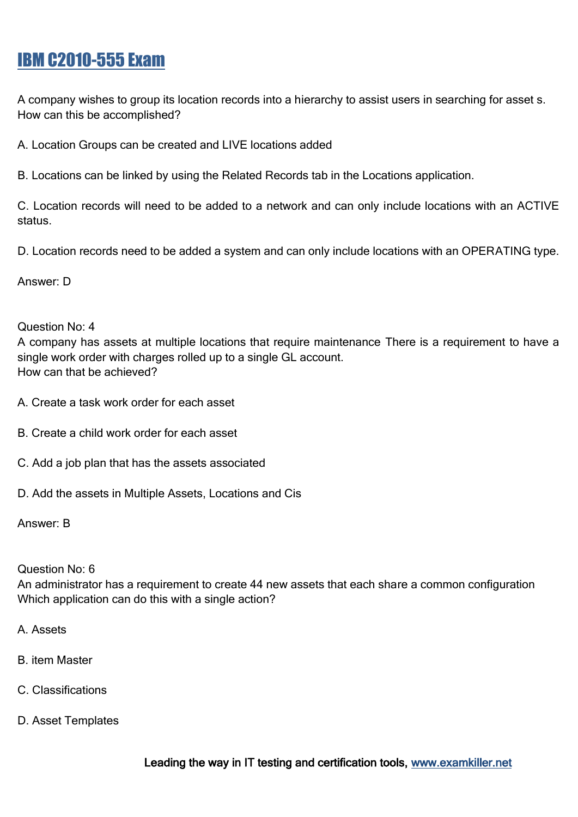A company wishes to group its location records into a hierarchy to assist users in searching for asset s. How can this be accomplished?

A. Location Groups can be created and LIVE locations added

B. Locations can be linked by using the Related Records tab in the Locations application.

C. Location records will need to be added to a network and can only include locations with an ACTIVE status.

D. Location records need to be added a system and can only include locations with an OPERATING type.

Answer: D

#### Question No: 4

A company has assets at multiple locations that require maintenance There is a requirement to have a single work order with charges rolled up to a single GL account. How can that be achieved?

- A. Create a task work order for each asset
- B. Create a child work order for each asset
- C. Add a job plan that has the assets associated
- D. Add the assets in Multiple Assets, Locations and Cis

Answer: B

#### Question No: 6

An administrator has a requirement to create 44 new assets that each share a common configuration Which application can do this with a single action?

- A. Assets
- B. item Master
- C. Classifications
- D. Asset Templates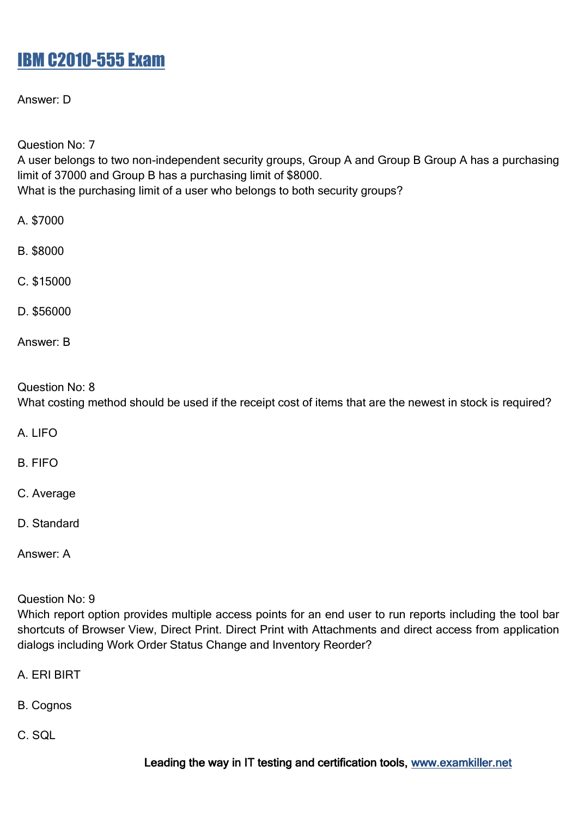Answer: D

Question No: 7

A user belongs to two non-independent security groups, Group A and Group B Group A has a purchasing limit of 37000 and Group B has a purchasing limit of \$8000. What is the purchasing limit of a user who belongs to both security groups?

- A. \$7000
- B. \$8000
- C. \$15000
- D. \$56000
- Answer: B

#### Question No: 8

What costing method should be used if the receipt cost of items that are the newest in stock is required?

A. LIFO

B. FIFO

- C. Average
- D. Standard
- Answer: A

Question No: 9

Which report option provides multiple access points for an end user to run reports including the tool bar shortcuts of Browser View, Direct Print. Direct Print with Attachments and direct access from application dialogs including Work Order Status Change and Inventory Reorder?

- A. ERI BIRT
- B. Cognos
- C. SQL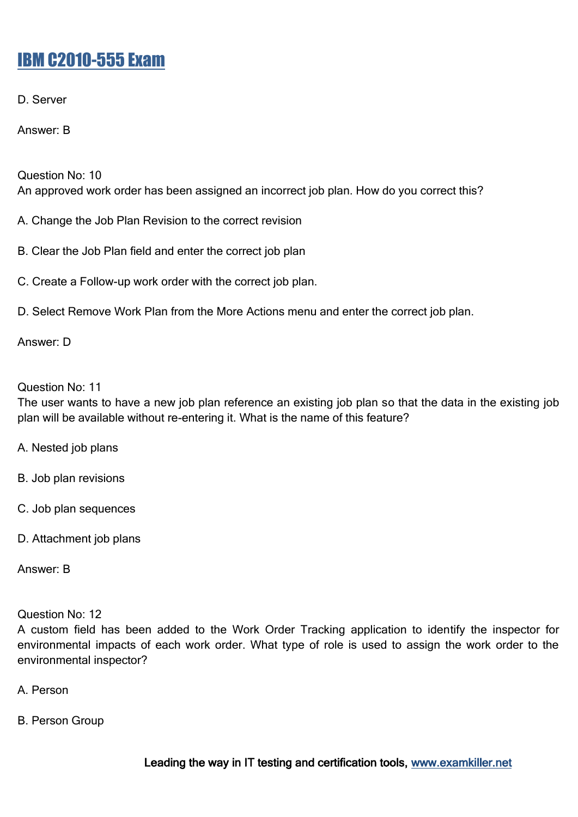D. Server

Answer: B

Question No: 10 An approved work order has been assigned an incorrect job plan. How do you correct this?

A. Change the Job Plan Revision to the correct revision

B. Clear the Job Plan field and enter the correct job plan

C. Create a Follow-up work order with the correct job plan.

D. Select Remove Work Plan from the More Actions menu and enter the correct job plan.

Answer: D

Question No: 11

The user wants to have a new job plan reference an existing job plan so that the data in the existing job plan will be available without re-entering it. What is the name of this feature?

- A. Nested job plans
- B. Job plan revisions
- C. Job plan sequences
- D. Attachment job plans

Answer: B

Question No: 12

A custom field has been added to the Work Order Tracking application to identify the inspector for environmental impacts of each work order. What type of role is used to assign the work order to the environmental inspector?

A. Person

B. Person Group